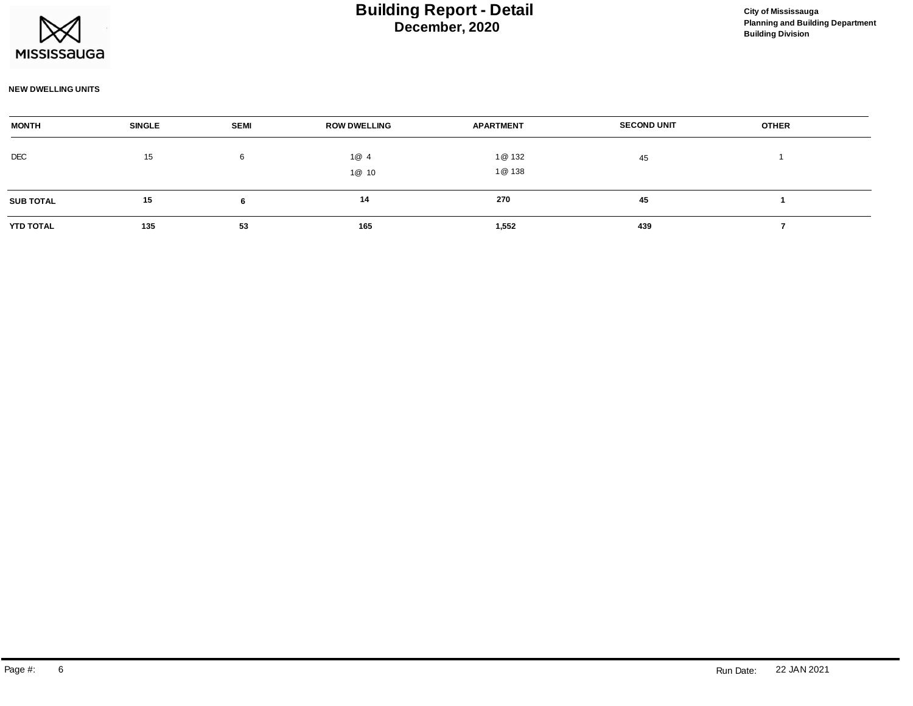

### **NEW DWELLING UNITS**

| <b>MONTH</b>     | <b>SINGLE</b> | <b>SEMI</b> | <b>ROW DWELLING</b> | <b>APARTMENT</b> | <b>SECOND UNIT</b> | <b>OTHER</b> |  |
|------------------|---------------|-------------|---------------------|------------------|--------------------|--------------|--|
| DEC              | 15            | 6           | 1@4                 | 1@ 132           | 45                 |              |  |
|                  |               |             |                     |                  |                    |              |  |
|                  |               |             | 1@ 10               | 1@ 138           |                    |              |  |
| <b>SUB TOTAL</b> | 15            |             | 14                  | 270              | 45                 |              |  |
|                  |               |             |                     |                  |                    |              |  |
| <b>YTD TOTAL</b> | 135           | 53          | 165                 | 1,552            | 439                |              |  |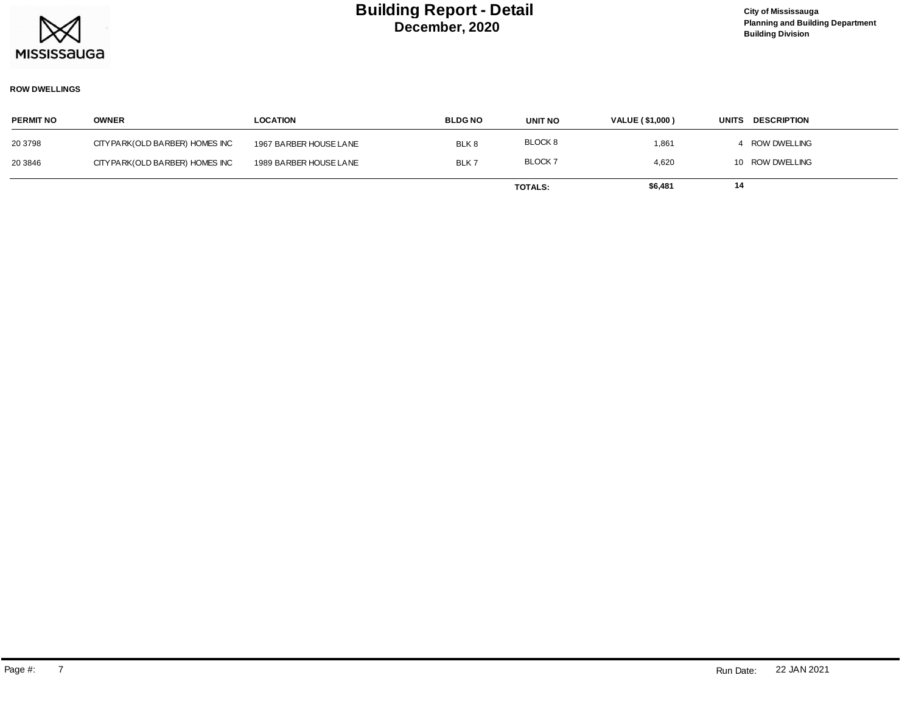

### **ROW DWELLINGS**

| <b>PERMIT NO</b> | <b>OWNER</b>                     | <b>LOCATION</b>        | <b>BLDGNO</b> | <b>UNIT NO</b> | <b>VALUE (\$1,000)</b> | <b>DESCRIPTION</b><br><b>UNITS</b> |
|------------------|----------------------------------|------------------------|---------------|----------------|------------------------|------------------------------------|
| 20 3798          | CITY PARK (OLD BARBER) HOMES INC | 1967 BARBER HOUSE LANE | BLK8          | BLOCK 8        | 1,861                  | 4 ROW DWELLING                     |
| 20 3846          | CITY PARK (OLD BARBER) HOMES INC | 1989 BARBER HOUSE LANE | BLK7          | <b>BLOCK7</b>  | 4,620                  | 10 ROW DWELLING                    |
|                  |                                  |                        |               | <b>TOTALS:</b> | \$6,481                | 14                                 |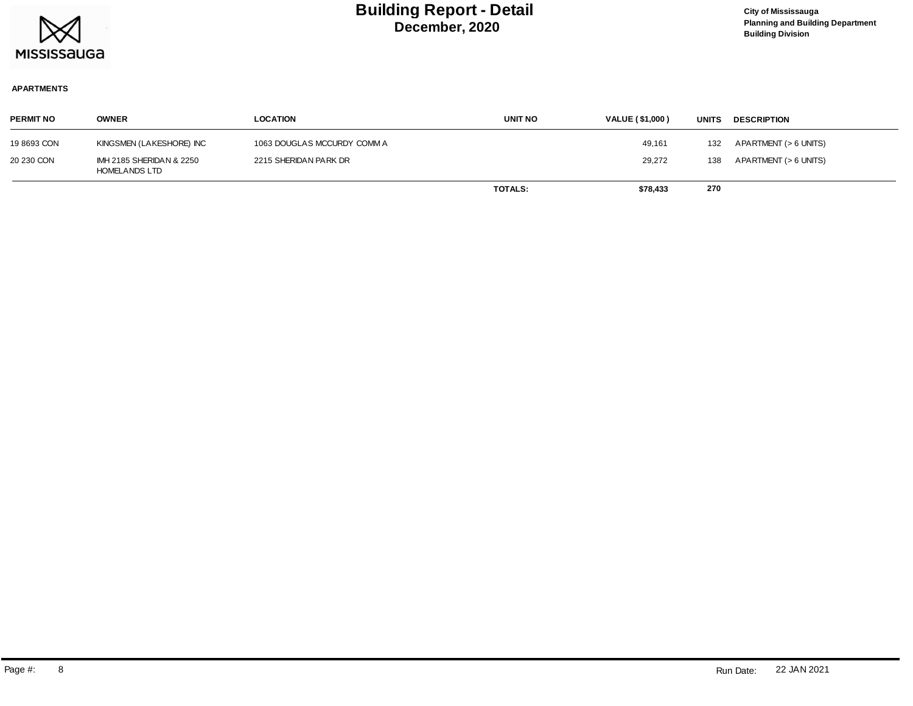

### **APARTMENTS**

| <b>PERMIT NO</b> | <b>OWNER</b>                                     | LOCATION                    | <b>UNIT NO</b> | <b>VALUE (\$1,000)</b> | <b>UNITS</b> | <b>DESCRIPTION</b>    |
|------------------|--------------------------------------------------|-----------------------------|----------------|------------------------|--------------|-----------------------|
| 19 8693 CON      | KINGSMEN (LAKESHORE) INC                         | 1063 DOUGLAS MCCURDY COMM A |                | 49,161                 | 132          | APARTMENT (> 6 UNITS) |
| 20 230 CON       | IMH 2185 SHERIDAN & 2250<br><b>HOMELANDS LTD</b> | 2215 SHERIDAN PARK DR       |                | 29,272                 | 138          | APARTMENT (> 6 UNITS) |
|                  |                                                  |                             | <b>TOTALS:</b> | \$78,433               | 270          |                       |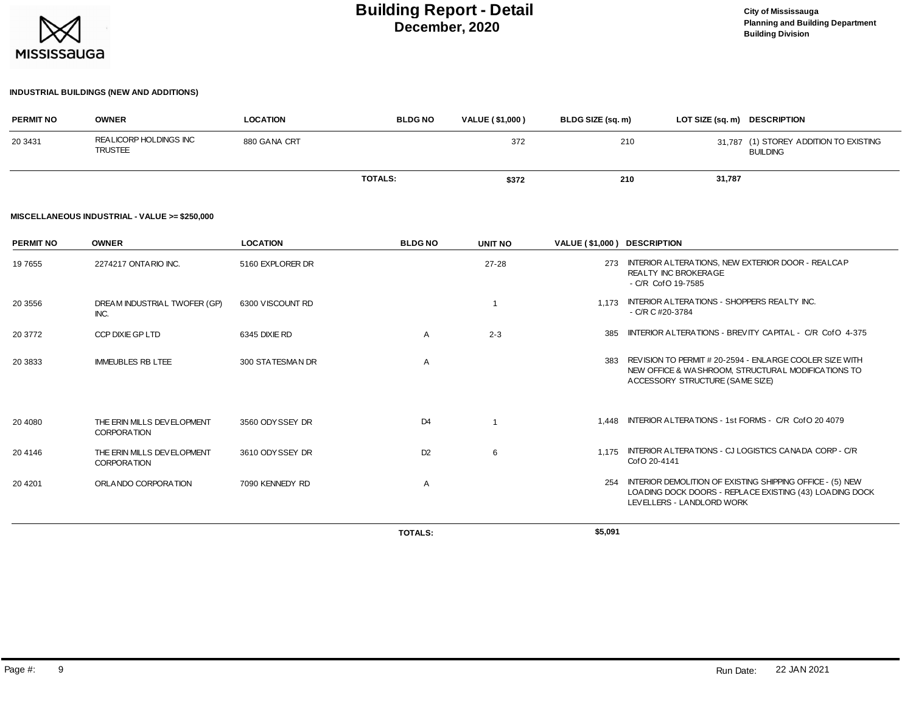

#### **INDUSTRIAL BUILDINGS (NEW AND ADDITIONS)**

| <b>PERMIT NO</b> | <b>OWNER</b>                             | <b>LOCATION</b> | <b>BLDG NO</b> | <b>VALUE (\$1,000)</b> | BLDG SIZE (sq. m) | LOT SIZE (sq. m) DESCRIPTION |                                                           |
|------------------|------------------------------------------|-----------------|----------------|------------------------|-------------------|------------------------------|-----------------------------------------------------------|
| 20 3431          | REALICORP HOLDINGS INC<br><b>TRUSTEE</b> | 880 GANA CRT    |                | 372                    | 210               |                              | 31,787 (1) STOREY ADDITION TO EXISTING<br><b>BUILDING</b> |
|                  |                                          |                 | <b>TOTALS:</b> | \$372                  | 210               | 31,787                       |                                                           |

#### **MISCELLANEOUS INDUSTRIAL - VALUE >= \$250,000**

| <b>PERMIT NO</b> | <b>OWNER</b>                                     | <b>LOCATION</b>  | <b>BLDGNO</b>  | <b>UNIT NO</b> | VALUE (\$1,000) DESCRIPTION |                                                                                                                                                   |
|------------------|--------------------------------------------------|------------------|----------------|----------------|-----------------------------|---------------------------------------------------------------------------------------------------------------------------------------------------|
| 19 7655          | 2274217 ONTARIO INC.                             | 5160 EXPLORER DR |                | $27 - 28$      | 273                         | INTERIOR ALTERATIONS, NEW EXTERIOR DOOR - REALCAP<br><b>REALTY INC BROKERAGE</b><br>- C/R CofO 19-7585                                            |
| 20 3556          | DREAM INDUSTRIAL TWOFER (GP)<br>INC.             | 6300 VISCOUNT RD |                |                | 1.173                       | INTERIOR ALTERATIONS - SHOPPERS REALTY INC.<br>$-C/R C #20-3784$                                                                                  |
| 20 3772          | CCP DIXIE GP LTD                                 | 6345 DIXIE RD    | A              | $2 - 3$        | 385                         | INTERIOR ALTERATIONS - BREVITY CAPITAL - C/R CofO 4-375                                                                                           |
| 20 3833          | <b>IMMEUBLES RB LTEE</b>                         | 300 STATESMAN DR | $\overline{A}$ |                | 383                         | REVISION TO PERMIT # 20-2594 - ENLARGE COOLER SIZE WITH<br>NEW OFFICE & WASHROOM, STRUCTURAL MODIFICATIONS TO<br>ACCESSORY STRUCTURE (SAME SIZE)  |
| 20 4080          | THE ERIN MILLS DEVELOPMENT<br><b>CORPORATION</b> | 3560 ODY SSEY DR | D <sub>4</sub> |                |                             | 1.448 INTERIOR ALTERATIONS - 1st FORMS - C/R CofO 20 4079                                                                                         |
| 20 4146          | THE ERIN MILLS DEVELOPMENT<br><b>CORPORATION</b> | 3610 ODYSSEY DR  | D <sub>2</sub> | 6              |                             | 1.175 INTERIOR ALTERATIONS - CJ LOGISTICS CANADA CORP - C/R<br>Cof O 20-4141                                                                      |
| 20 4 201         | ORLANDO CORPORATION                              | 7090 KENNEDY RD  | $\overline{A}$ |                | 254                         | INTERIOR DEMOLITION OF EXISTING SHIPPING OFFICE - (5) NEW<br>LOADING DOCK DOORS - REPLACE EXISTING (43) LOADING DOCK<br>LEVELLERS - LANDLORD WORK |
|                  |                                                  |                  | <b>TOTALS:</b> |                | \$5,091                     |                                                                                                                                                   |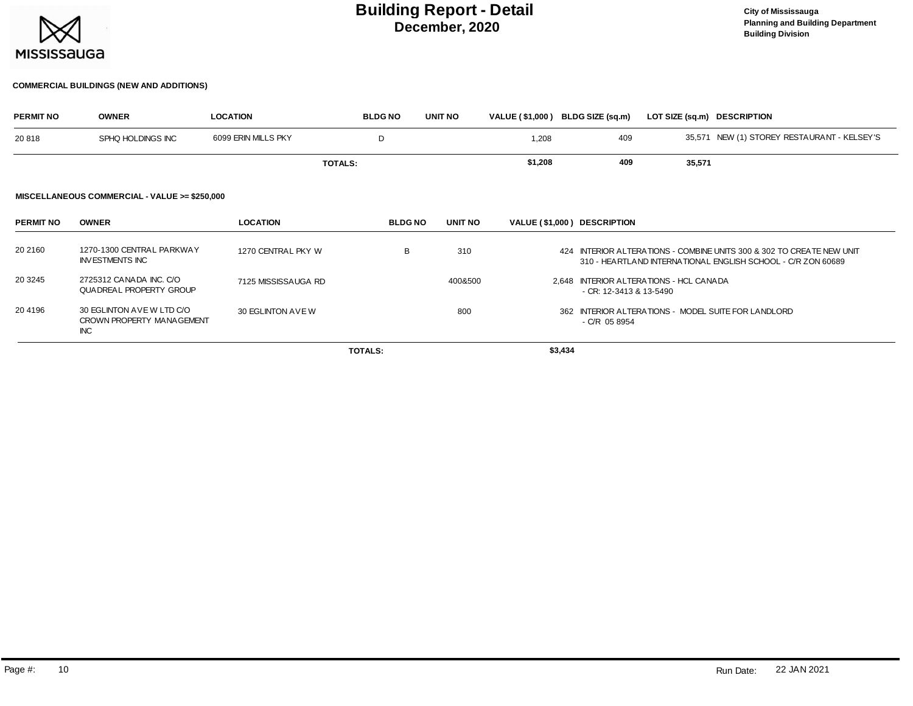

#### **COMMERCIAL BUILDINGS (NEW AND ADDITIONS)**

| <b>PERMIT NO</b> | <b>OWNER</b>                                                         | <b>LOCATION</b>     | <b>BLDG NO</b> | <b>UNIT NO</b> | VALUE (\$1,000) BLDG SIZE (sq.m) |                             | LOT SIZE (sq.m) DESCRIPTION             |                                                                                                                                       |
|------------------|----------------------------------------------------------------------|---------------------|----------------|----------------|----------------------------------|-----------------------------|-----------------------------------------|---------------------------------------------------------------------------------------------------------------------------------------|
| 20818            | SPHQ HOLDINGS INC                                                    | 6099 ERIN MILLS PKY | D              |                | 1,208                            | 409                         |                                         | 35,571 NEW (1) STOREY RESTAURANT - KELSEY'S                                                                                           |
|                  |                                                                      | <b>TOTALS:</b>      |                |                | \$1,208                          | 409                         | 35,571                                  |                                                                                                                                       |
|                  | MISCELLANEOUS COMMERCIAL - VALUE >= \$250,000                        |                     |                |                |                                  |                             |                                         |                                                                                                                                       |
| <b>PERMIT NO</b> | <b>OWNER</b>                                                         | <b>LOCATION</b>     | <b>BLDG NO</b> | UNIT NO        |                                  | VALUE (\$1,000) DESCRIPTION |                                         |                                                                                                                                       |
| 20 2160          | 1270-1300 CENTRAL PARKWAY<br><b>INVESTMENTS INC</b>                  | 1270 CENTRAL PKY W  | B              | 310            |                                  |                             |                                         | 424 INTERIOR ALTERATIONS - COMBINE UNITS 300 & 302 TO CREATE NEW UNIT<br>310 - HEARTLAND INTERNATIONAL ENGLISH SCHOOL - C/R ZON 60689 |
| 20 3245          | 2725312 CANADA INC. C/O<br>QUADREAL PROPERTY GROUP                   | 7125 MISSISSAUGA RD |                | 400&500        |                                  | - CR: 12-3413 & 13-5490     | 2.648 INTERIOR ALTERATIONS - HCL CANADA |                                                                                                                                       |
| 20 4196          | 30 EGLINTON AVE W LTD C/O<br>CROWN PROPERTY MANAGEMENT<br><b>INC</b> | 30 EGLINTON AVE W   |                | 800            |                                  | $-C/R$ 05 8954              |                                         | 362 INTERIOR ALTERATIONS - MODEL SUITE FOR LANDLORD                                                                                   |
|                  |                                                                      |                     | <b>TOTALS:</b> |                | \$3,434                          |                             |                                         |                                                                                                                                       |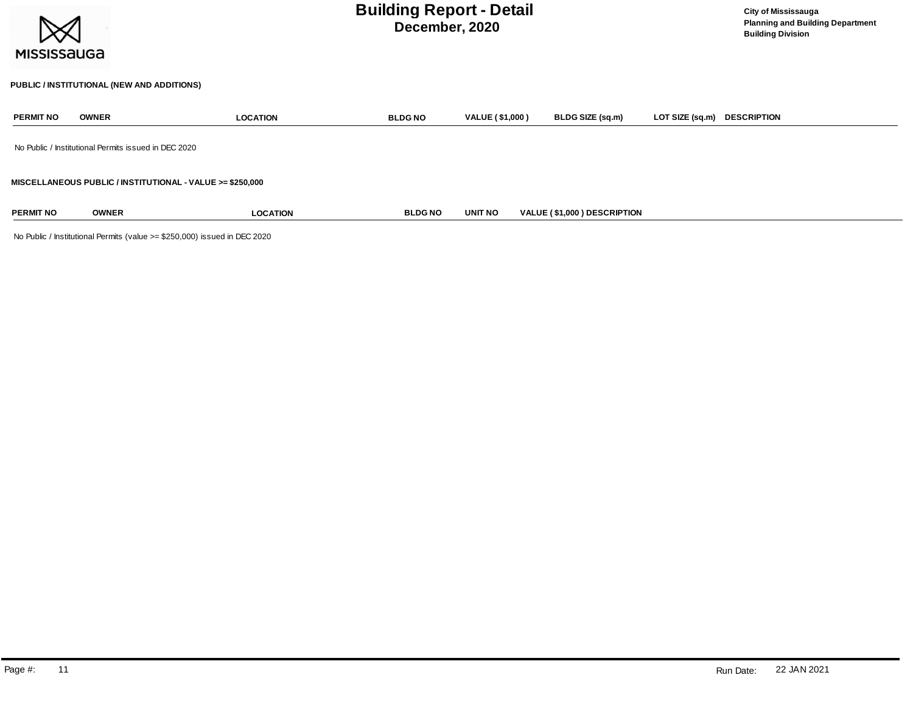| <b>MISSISSAUGA</b>                                        |                                            | <b>Building Report - Detail</b>                      | <b>City of Mississauga</b><br><b>Planning and Building Department</b><br><b>Building Division</b> |                        |                             |                 |                    |  |  |  |
|-----------------------------------------------------------|--------------------------------------------|------------------------------------------------------|---------------------------------------------------------------------------------------------------|------------------------|-----------------------------|-----------------|--------------------|--|--|--|
|                                                           | PUBLIC / INSTITUTIONAL (NEW AND ADDITIONS) |                                                      |                                                                                                   |                        |                             |                 |                    |  |  |  |
| <b>PERMIT NO</b>                                          | <b>OWNER</b>                               | <b>LOCATION</b>                                      | <b>BLDG NO</b>                                                                                    | <b>VALUE (\$1,000)</b> | BLDG SIZE (sq.m)            | LOT SIZE (sq.m) | <b>DESCRIPTION</b> |  |  |  |
|                                                           |                                            | No Public / Institutional Permits issued in DEC 2020 |                                                                                                   |                        |                             |                 |                    |  |  |  |
| MISCELLANEOUS PUBLIC / INSTITUTIONAL - VALUE >= \$250,000 |                                            |                                                      |                                                                                                   |                        |                             |                 |                    |  |  |  |
| <b>PERMIT NO</b>                                          | <b>OWNER</b>                               | <b>LOCATION</b>                                      | <b>BLDGNO</b>                                                                                     | <b>UNIT NO</b>         | VALUE (\$1,000) DESCRIPTION |                 |                    |  |  |  |

No Public / Institutional Permits (value >= \$250,000) issued in DEC 2020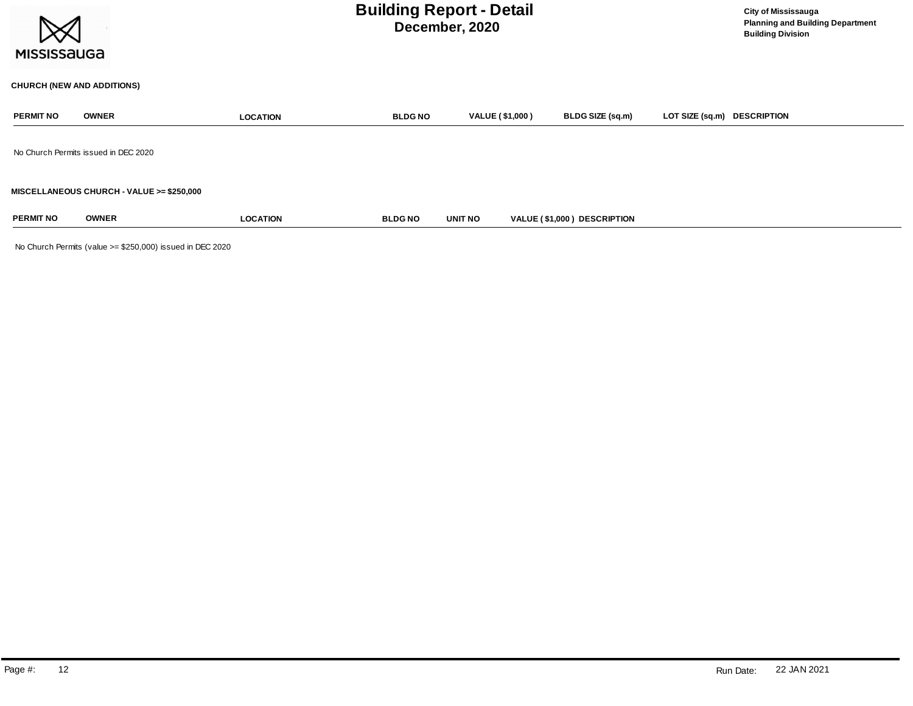| <b>MISSISSAUGA</b> |                                           |                 | <b>Building Report - Detail</b><br>December, 2020 |                        | <b>City of Mississauga</b><br><b>Planning and Building Department</b><br><b>Building Division</b> |                             |  |
|--------------------|-------------------------------------------|-----------------|---------------------------------------------------|------------------------|---------------------------------------------------------------------------------------------------|-----------------------------|--|
|                    | <b>CHURCH (NEW AND ADDITIONS)</b>         |                 |                                                   |                        |                                                                                                   |                             |  |
| <b>PERMIT NO</b>   | <b>OWNER</b>                              | <b>LOCATION</b> | <b>BLDG NO</b>                                    | <b>VALUE (\$1,000)</b> | BLDG SIZE (sq.m)                                                                                  | LOT SIZE (sq.m) DESCRIPTION |  |
|                    | No Church Permits issued in DEC 2020      |                 |                                                   |                        |                                                                                                   |                             |  |
|                    | MISCELLANEOUS CHURCH - VALUE >= \$250,000 |                 |                                                   |                        |                                                                                                   |                             |  |
| <b>PERMIT NO</b>   | <b>OWNER</b>                              | <b>LOCATION</b> | <b>BLDG NO</b>                                    | UNIT NO                | VALUE (\$1,000) DESCRIPTION                                                                       |                             |  |

No Church Permits (value >= \$250,000) issued in DEC 2020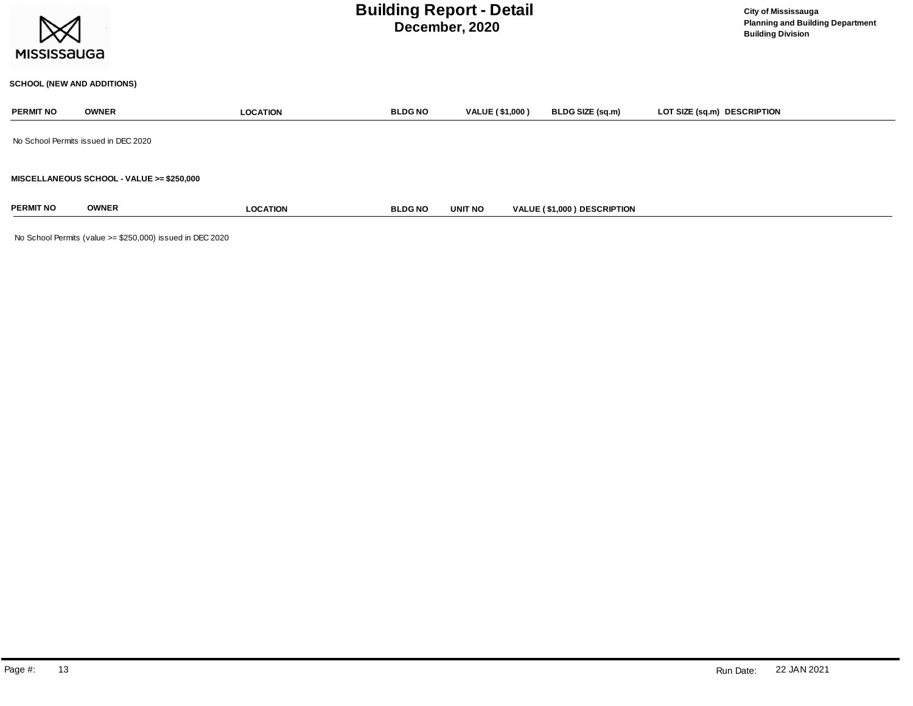

### **SCHOOL (NEW AND ADDITIONS)**

| <b>PERMIT NO</b>                          | <b>OWNER</b>                         | <b>LOCATION</b> | <b>BLDG NO</b> | VALUE (\$1,000) | BLDG SIZE (sq.m)            | LOT SIZE (sq.m) DESCRIPTION |  |  |  |
|-------------------------------------------|--------------------------------------|-----------------|----------------|-----------------|-----------------------------|-----------------------------|--|--|--|
|                                           | No School Permits issued in DEC 2020 |                 |                |                 |                             |                             |  |  |  |
| MISCELLANEOUS SCHOOL - VALUE >= \$250,000 |                                      |                 |                |                 |                             |                             |  |  |  |
| <b>PERMIT NO</b>                          | <b>OWNER</b>                         | <b>LOCATION</b> | <b>BLDG NO</b> | <b>UNIT NO</b>  | VALUE (\$1,000) DESCRIPTION |                             |  |  |  |

No School Permits (value >= \$250,000) issued in DEC 2020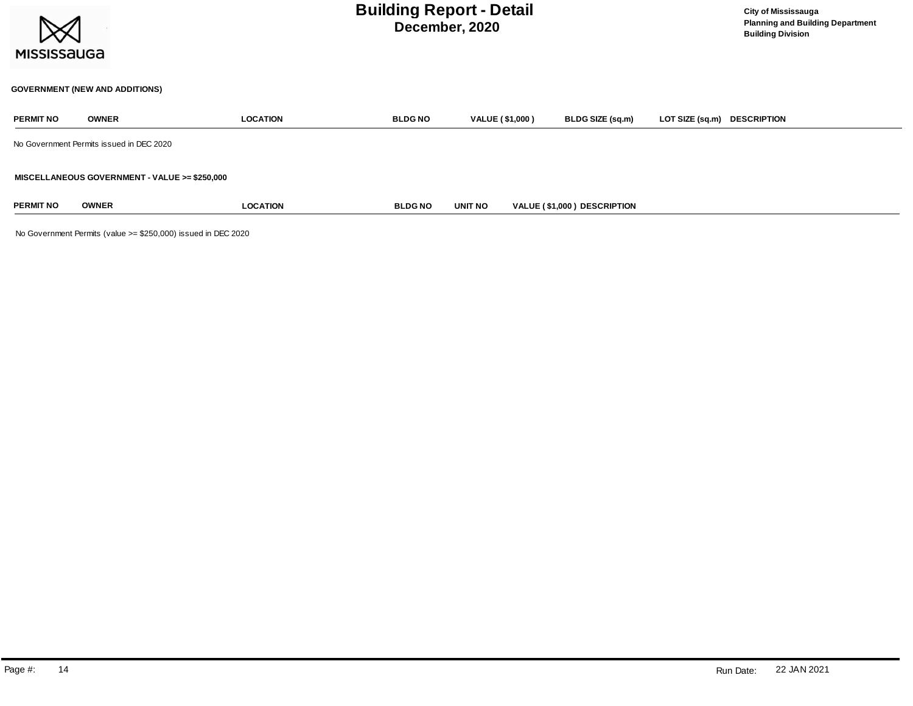

### **GOVERNMENT (NEW AND ADDITIONS)**

| <b>PERMIT NO</b> | <b>OWNER</b>                                  | <b>LOCATION</b> | <b>BLDG NO</b> | VALUE (\$1,000) | <b>BLDG SIZE (sq.m)</b>     | LOT SIZE (sq.m) DESCRIPTION |  |
|------------------|-----------------------------------------------|-----------------|----------------|-----------------|-----------------------------|-----------------------------|--|
|                  | No Government Permits issued in DEC 2020      |                 |                |                 |                             |                             |  |
|                  | MISCELLANEOUS GOVERNMENT - VALUE >= \$250,000 |                 |                |                 |                             |                             |  |
| <b>PERMIT NO</b> | <b>OWNER</b>                                  | <b>LOCATION</b> | <b>BLDG NO</b> | <b>UNIT NO</b>  | VALUE (\$1,000) DESCRIPTION |                             |  |

No Government Permits (value >= \$250,000) issued in DEC 2020